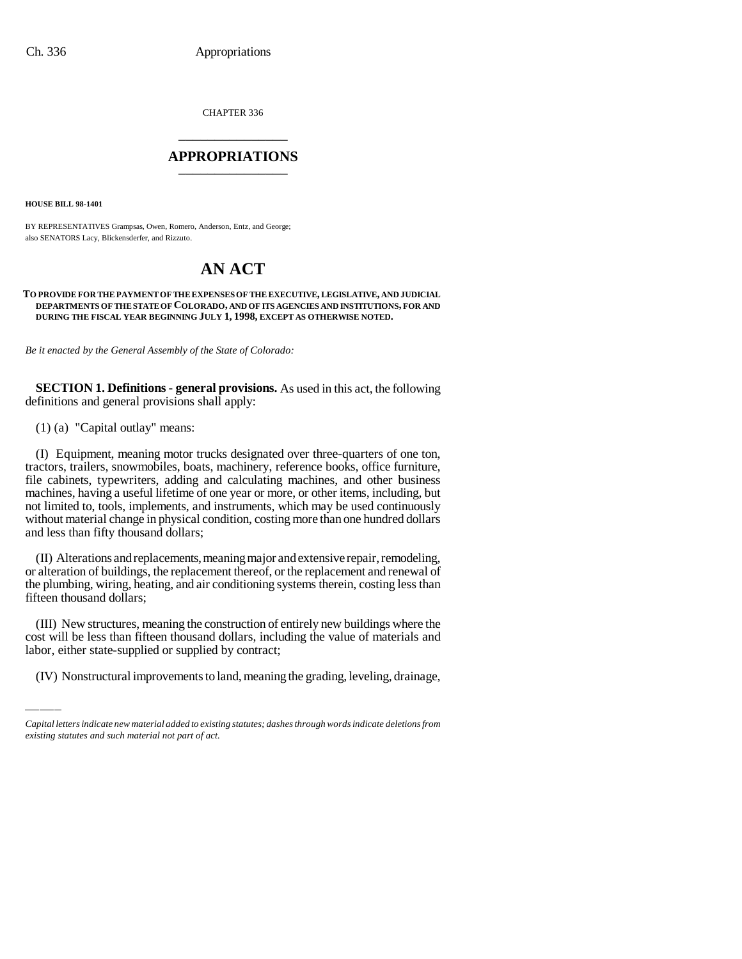CHAPTER 336 \_\_\_\_\_\_\_\_\_\_\_\_\_\_\_

### **APPROPRIATIONS** \_\_\_\_\_\_\_\_\_\_\_\_\_\_\_

**HOUSE BILL 98-1401**

BY REPRESENTATIVES Grampsas, Owen, Romero, Anderson, Entz, and George; also SENATORS Lacy, Blickensderfer, and Rizzuto.

## **AN ACT**

#### **TO PROVIDE FOR THE PAYMENT OF THE EXPENSES OF THE EXECUTIVE, LEGISLATIVE, AND JUDICIAL DEPARTMENTS OF THE STATE OF COLORADO, AND OF ITS AGENCIES AND INSTITUTIONS, FOR AND DURING THE FISCAL YEAR BEGINNING JULY 1, 1998, EXCEPT AS OTHERWISE NOTED.**

*Be it enacted by the General Assembly of the State of Colorado:*

**SECTION 1. Definitions - general provisions.** As used in this act, the following definitions and general provisions shall apply:

(1) (a) "Capital outlay" means:

(I) Equipment, meaning motor trucks designated over three-quarters of one ton, tractors, trailers, snowmobiles, boats, machinery, reference books, office furniture, file cabinets, typewriters, adding and calculating machines, and other business machines, having a useful lifetime of one year or more, or other items, including, but not limited to, tools, implements, and instruments, which may be used continuously without material change in physical condition, costing more than one hundred dollars and less than fifty thousand dollars;

(II) Alterations and replacements, meaning major and extensive repair, remodeling, or alteration of buildings, the replacement thereof, or the replacement and renewal of the plumbing, wiring, heating, and air conditioning systems therein, costing less than fifteen thousand dollars;

(III) New structures, meaning the construction of entirely new buildings where the cost will be less than fifteen thousand dollars, including the value of materials and labor, either state-supplied or supplied by contract;

(IV) Nonstructural improvements to land, meaning the grading, leveling, drainage,

*Capital letters indicate new material added to existing statutes; dashes through words indicate deletions from existing statutes and such material not part of act.*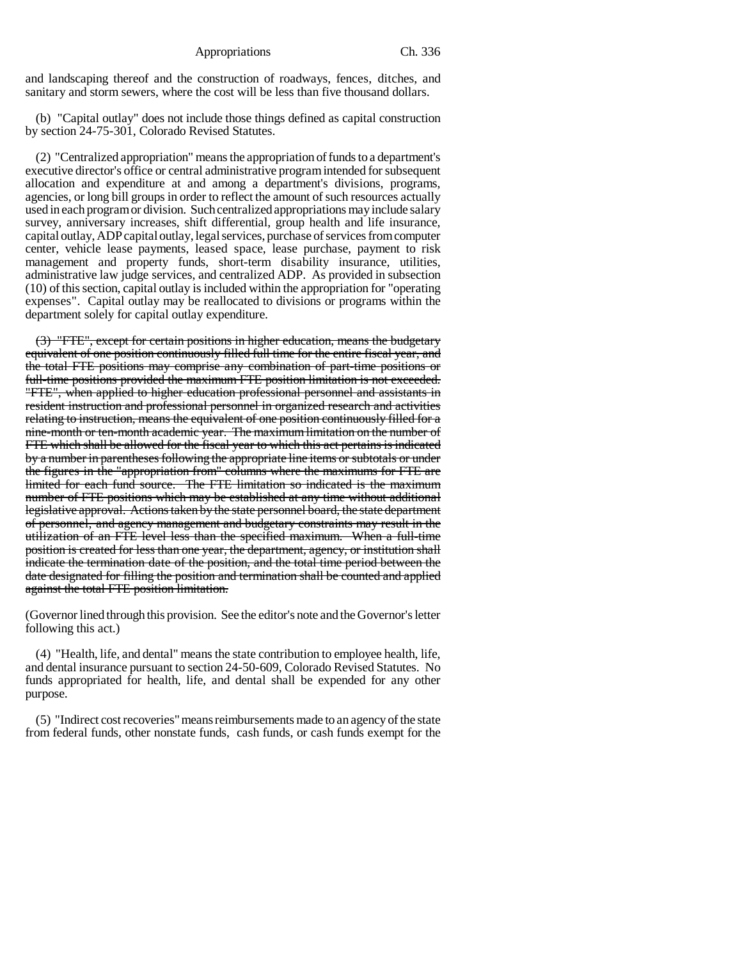and landscaping thereof and the construction of roadways, fences, ditches, and sanitary and storm sewers, where the cost will be less than five thousand dollars.

(b) "Capital outlay" does not include those things defined as capital construction by section 24-75-301, Colorado Revised Statutes.

(2) "Centralized appropriation" means the appropriation of funds to a department's executive director's office or central administrative program intended for subsequent allocation and expenditure at and among a department's divisions, programs, agencies, or long bill groups in order to reflect the amount of such resources actually used in each program or division. Such centralized appropriations may include salary survey, anniversary increases, shift differential, group health and life insurance, capital outlay, ADP capital outlay, legal services, purchase of services from computer center, vehicle lease payments, leased space, lease purchase, payment to risk management and property funds, short-term disability insurance, utilities, administrative law judge services, and centralized ADP. As provided in subsection (10) of this section, capital outlay is included within the appropriation for "operating expenses". Capital outlay may be reallocated to divisions or programs within the department solely for capital outlay expenditure.

(3) "FTE", except for certain positions in higher education, means the budgetary equivalent of one position continuously filled full time for the entire fiscal year, and the total FTE positions may comprise any combination of part-time positions or full-time positions provided the maximum FTE position limitation is not exceeded. "FTE", when applied to higher education professional personnel and assistants in resident instruction and professional personnel in organized research and activities relating to instruction, means the equivalent of one position continuously filled for a nine-month or ten-month academic year. The maximum limitation on the number of FTE which shall be allowed for the fiscal year to which this act pertains is indicated by a number in parentheses following the appropriate line items or subtotals or under the figures in the "appropriation from" columns where the maximums for FTE are limited for each fund source. The FTE limitation so indicated is the maximum number of FTE positions which may be established at any time without additional legislative approval. Actions taken by the state personnel board, the state department of personnel, and agency management and budgetary constraints may result in the utilization of an FTE level less than the specified maximum. When a full-time position is created for less than one year, the department, agency, or institution shall indicate the termination date of the position, and the total time period between the date designated for filling the position and termination shall be counted and applied against the total FTE position limitation.

(Governor lined through this provision. See the editor's note and the Governor's letter following this act.)

(4) "Health, life, and dental" means the state contribution to employee health, life, and dental insurance pursuant to section 24-50-609, Colorado Revised Statutes. No funds appropriated for health, life, and dental shall be expended for any other purpose.

(5) "Indirect cost recoveries" means reimbursements made to an agency of the state from federal funds, other nonstate funds, cash funds, or cash funds exempt for the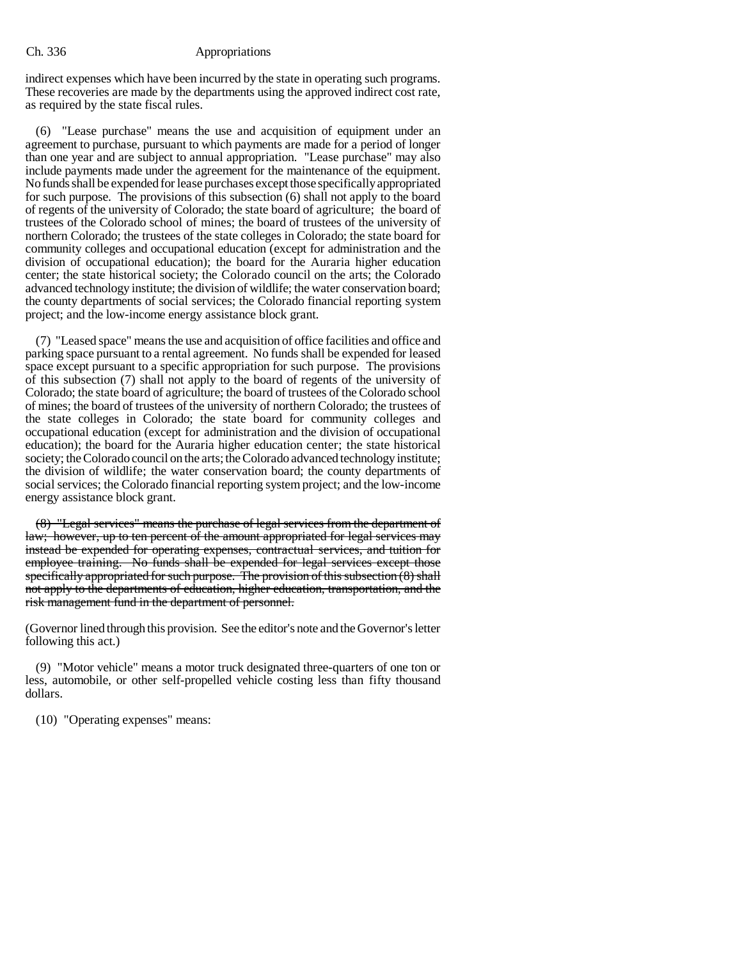#### Ch. 336 Appropriations

indirect expenses which have been incurred by the state in operating such programs. These recoveries are made by the departments using the approved indirect cost rate, as required by the state fiscal rules.

(6) "Lease purchase" means the use and acquisition of equipment under an agreement to purchase, pursuant to which payments are made for a period of longer than one year and are subject to annual appropriation. "Lease purchase" may also include payments made under the agreement for the maintenance of the equipment. No funds shall be expended for lease purchases except those specifically appropriated for such purpose. The provisions of this subsection (6) shall not apply to the board of regents of the university of Colorado; the state board of agriculture; the board of trustees of the Colorado school of mines; the board of trustees of the university of northern Colorado; the trustees of the state colleges in Colorado; the state board for community colleges and occupational education (except for administration and the division of occupational education); the board for the Auraria higher education center; the state historical society; the Colorado council on the arts; the Colorado advanced technology institute; the division of wildlife; the water conservation board; the county departments of social services; the Colorado financial reporting system project; and the low-income energy assistance block grant.

(7) "Leased space" means the use and acquisition of office facilities and office and parking space pursuant to a rental agreement. No funds shall be expended for leased space except pursuant to a specific appropriation for such purpose. The provisions of this subsection (7) shall not apply to the board of regents of the university of Colorado; the state board of agriculture; the board of trustees of the Colorado school of mines; the board of trustees of the university of northern Colorado; the trustees of the state colleges in Colorado; the state board for community colleges and occupational education (except for administration and the division of occupational education); the board for the Auraria higher education center; the state historical society; the Colorado council on the arts; the Colorado advanced technology institute; the division of wildlife; the water conservation board; the county departments of social services; the Colorado financial reporting system project; and the low-income energy assistance block grant.

(8) "Legal services" means the purchase of legal services from the department of law; however, up to ten percent of the amount appropriated for legal services may instead be expended for operating expenses, contractual services, and tuition for employee training. No funds shall be expended for legal services except those specifically appropriated for such purpose. The provision of this subsection  $(8)$  shall not apply to the departments of education, higher education, transportation, and the risk management fund in the department of personnel.

(Governor lined through this provision. See the editor's note and the Governor's letter following this act.)

(9) "Motor vehicle" means a motor truck designated three-quarters of one ton or less, automobile, or other self-propelled vehicle costing less than fifty thousand dollars.

(10) "Operating expenses" means: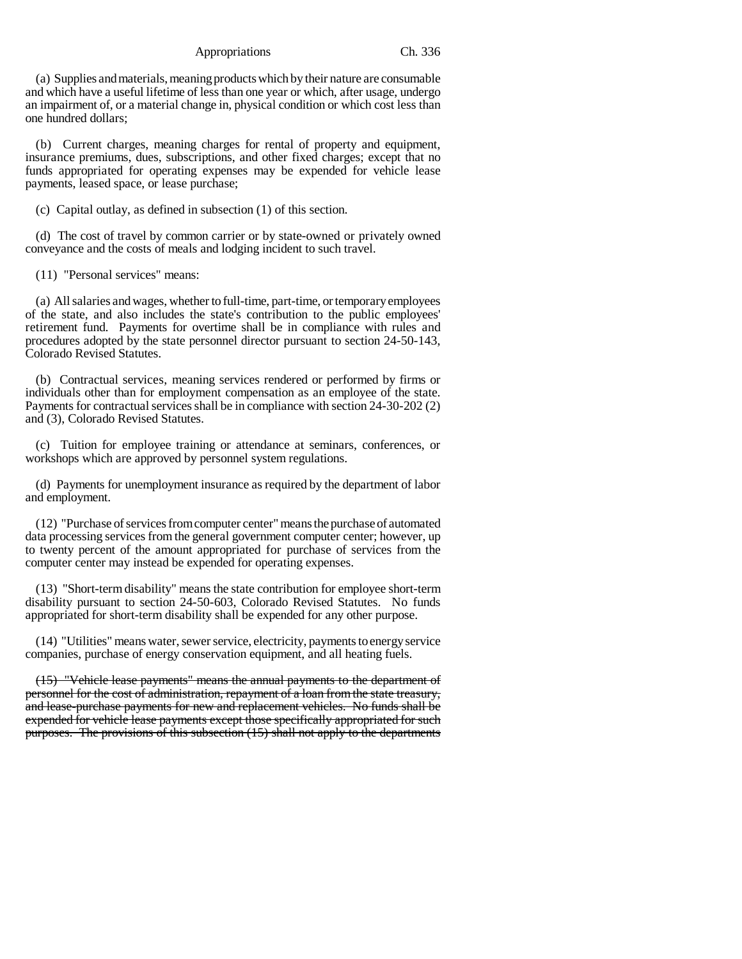(a) Supplies and materials, meaning products which by their nature are consumable and which have a useful lifetime of less than one year or which, after usage, undergo an impairment of, or a material change in, physical condition or which cost less than one hundred dollars;

(b) Current charges, meaning charges for rental of property and equipment, insurance premiums, dues, subscriptions, and other fixed charges; except that no funds appropriated for operating expenses may be expended for vehicle lease payments, leased space, or lease purchase;

(c) Capital outlay, as defined in subsection (1) of this section.

(d) The cost of travel by common carrier or by state-owned or privately owned conveyance and the costs of meals and lodging incident to such travel.

(11) "Personal services" means:

(a) All salaries and wages, whether to full-time, part-time, or temporary employees of the state, and also includes the state's contribution to the public employees' retirement fund. Payments for overtime shall be in compliance with rules and procedures adopted by the state personnel director pursuant to section 24-50-143, Colorado Revised Statutes.

(b) Contractual services, meaning services rendered or performed by firms or individuals other than for employment compensation as an employee of the state. Payments for contractual services shall be in compliance with section 24-30-202 (2) and (3), Colorado Revised Statutes.

(c) Tuition for employee training or attendance at seminars, conferences, or workshops which are approved by personnel system regulations.

(d) Payments for unemployment insurance as required by the department of labor and employment.

(12) "Purchase of services from computer center" means the purchase of automated data processing services from the general government computer center; however, up to twenty percent of the amount appropriated for purchase of services from the computer center may instead be expended for operating expenses.

(13) "Short-term disability" means the state contribution for employee short-term disability pursuant to section 24-50-603, Colorado Revised Statutes. No funds appropriated for short-term disability shall be expended for any other purpose.

(14) "Utilities" means water, sewer service, electricity, payments to energy service companies, purchase of energy conservation equipment, and all heating fuels.

(15) "Vehicle lease payments" means the annual payments to the department of personnel for the cost of administration, repayment of a loan from the state treasury, and lease-purchase payments for new and replacement vehicles. No funds shall be expended for vehicle lease payments except those specifically appropriated for such purposes. The provisions of this subsection (15) shall not apply to the departments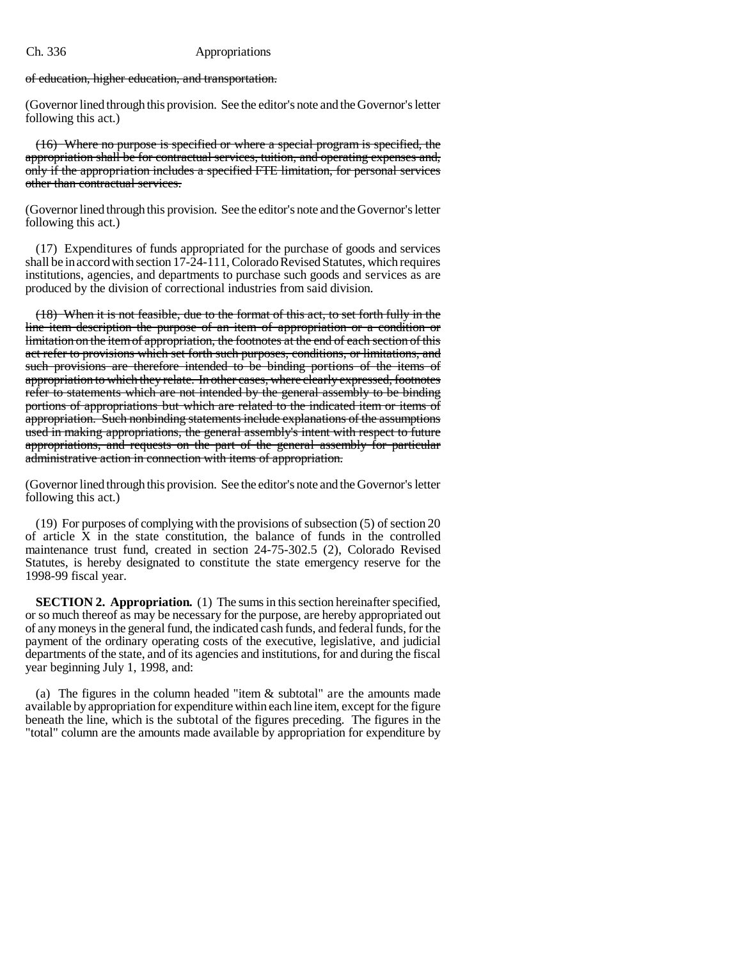### Ch. 336 Appropriations

of education, higher education, and transportation.

(Governor lined through this provision. See the editor's note and the Governor's letter following this act.)

(16) Where no purpose is specified or where a special program is specified, the appropriation shall be for contractual services, tuition, and operating expenses and, only if the appropriation includes a specified FTE limitation, for personal services other than contractual services.

(Governor lined through this provision. See the editor's note and the Governor's letter following this act.)

(17) Expenditures of funds appropriated for the purchase of goods and services shall be in accord with section 17-24-111, Colorado Revised Statutes, which requires institutions, agencies, and departments to purchase such goods and services as are produced by the division of correctional industries from said division.

(18) When it is not feasible, due to the format of this act, to set forth fully in the line item description the purpose of an item of appropriation or a condition or limitation on the item of appropriation, the footnotes at the end of each section of this act refer to provisions which set forth such purposes, conditions, or limitations, and such provisions are therefore intended to be binding portions of the items of appropriation to which they relate. In other cases, where clearly expressed, footnotes refer to statements which are not intended by the general assembly to be binding portions of appropriations but which are related to the indicated item or items of appropriation. Such nonbinding statements include explanations of the assumptions used in making appropriations, the general assembly's intent with respect to future appropriations, and requests on the part of the general assembly for particular administrative action in connection with items of appropriation.

(Governor lined through this provision. See the editor's note and the Governor's letter following this act.)

(19) For purposes of complying with the provisions of subsection (5) of section 20 of article X in the state constitution, the balance of funds in the controlled maintenance trust fund, created in section 24-75-302.5 (2), Colorado Revised Statutes, is hereby designated to constitute the state emergency reserve for the 1998-99 fiscal year.

**SECTION 2. Appropriation.** (1) The sums in this section hereinafter specified, or so much thereof as may be necessary for the purpose, are hereby appropriated out of any moneys in the general fund, the indicated cash funds, and federal funds, for the payment of the ordinary operating costs of the executive, legislative, and judicial departments of the state, and of its agencies and institutions, for and during the fiscal year beginning July 1, 1998, and:

(a) The figures in the column headed "item & subtotal" are the amounts made available by appropriation for expenditure within each line item, except for the figure beneath the line, which is the subtotal of the figures preceding. The figures in the "total" column are the amounts made available by appropriation for expenditure by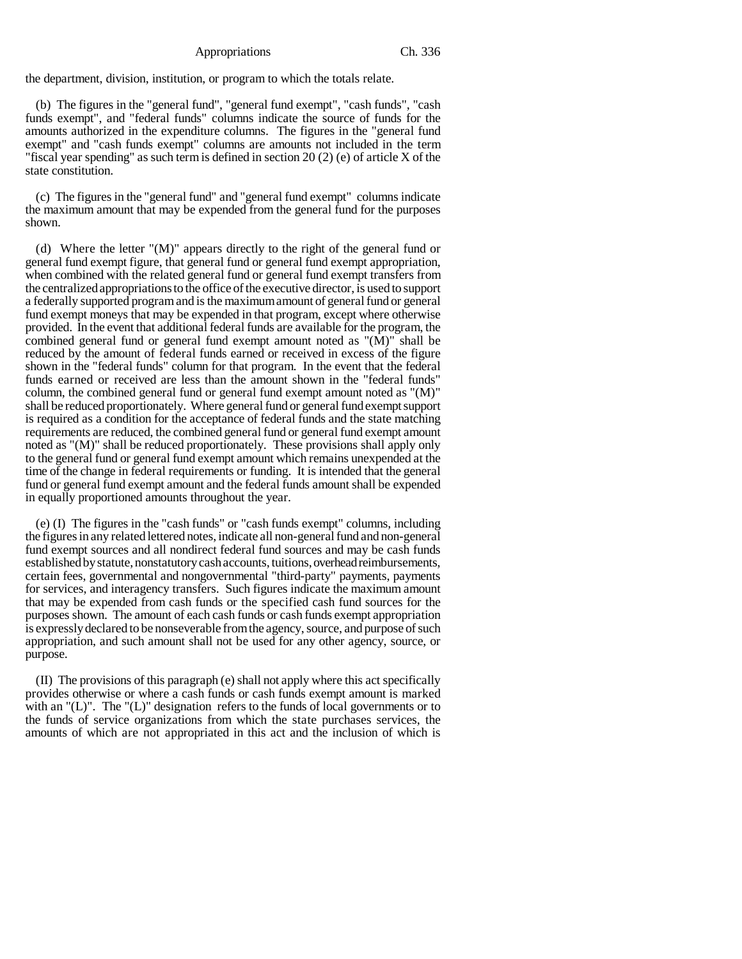the department, division, institution, or program to which the totals relate.

(b) The figures in the "general fund", "general fund exempt", "cash funds", "cash funds exempt", and "federal funds" columns indicate the source of funds for the amounts authorized in the expenditure columns. The figures in the "general fund exempt" and "cash funds exempt" columns are amounts not included in the term "fiscal year spending" as such term is defined in section 20 (2) (e) of article X of the state constitution.

(c) The figures in the "general fund" and "general fund exempt" columns indicate the maximum amount that may be expended from the general fund for the purposes shown.

(d) Where the letter "(M)" appears directly to the right of the general fund or general fund exempt figure, that general fund or general fund exempt appropriation, when combined with the related general fund or general fund exempt transfers from the centralized appropriations to the office of the executive director, is used to support a federally supported program and is the maximum amount of general fund or general fund exempt moneys that may be expended in that program, except where otherwise provided. In the event that additional federal funds are available for the program, the combined general fund or general fund exempt amount noted as "(M)" shall be reduced by the amount of federal funds earned or received in excess of the figure shown in the "federal funds" column for that program. In the event that the federal funds earned or received are less than the amount shown in the "federal funds" column, the combined general fund or general fund exempt amount noted as "(M)" shall be reduced proportionately. Where general fund or general fund exempt support is required as a condition for the acceptance of federal funds and the state matching requirements are reduced, the combined general fund or general fund exempt amount noted as "(M)" shall be reduced proportionately. These provisions shall apply only to the general fund or general fund exempt amount which remains unexpended at the time of the change in federal requirements or funding. It is intended that the general fund or general fund exempt amount and the federal funds amount shall be expended in equally proportioned amounts throughout the year.

(e) (I) The figures in the "cash funds" or "cash funds exempt" columns, including the figures in any related lettered notes, indicate all non-general fund and non-general fund exempt sources and all nondirect federal fund sources and may be cash funds established by statute, nonstatutory cash accounts, tuitions, overhead reimbursements, certain fees, governmental and nongovernmental "third-party" payments, payments for services, and interagency transfers. Such figures indicate the maximum amount that may be expended from cash funds or the specified cash fund sources for the purposes shown. The amount of each cash funds or cash funds exempt appropriation is expressly declared to be nonseverable from the agency, source, and purpose of such appropriation, and such amount shall not be used for any other agency, source, or purpose.

(II) The provisions of this paragraph (e) shall not apply where this act specifically provides otherwise or where a cash funds or cash funds exempt amount is marked with an "(L)". The "(L)" designation refers to the funds of local governments or to the funds of service organizations from which the state purchases services, the amounts of which are not appropriated in this act and the inclusion of which is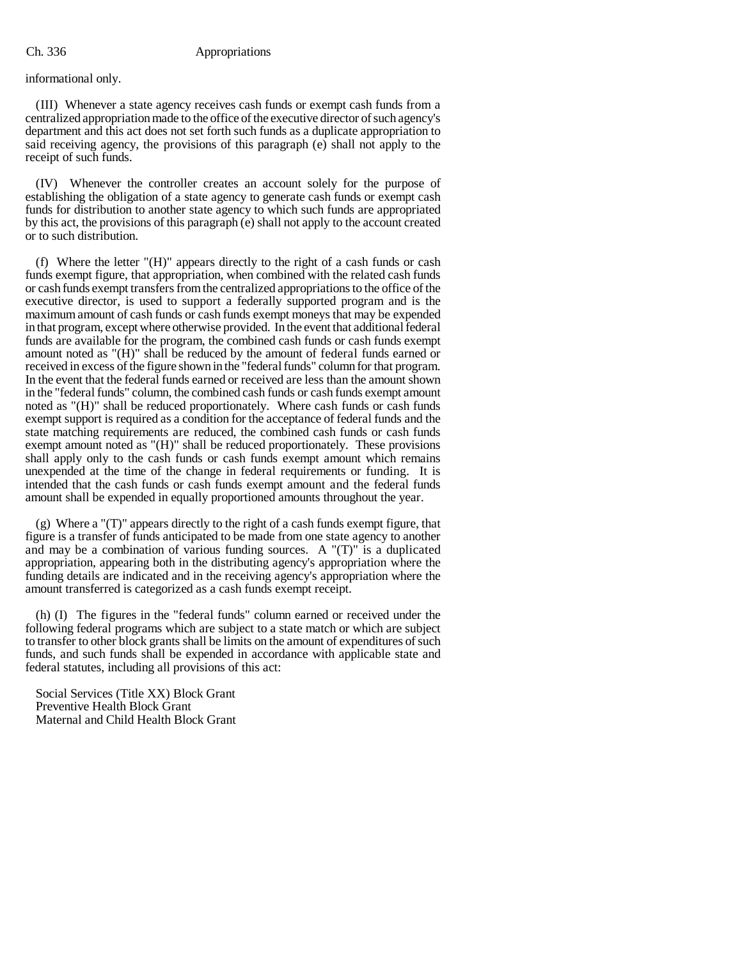informational only.

(III) Whenever a state agency receives cash funds or exempt cash funds from a centralized appropriation made to the office of the executive director of such agency's department and this act does not set forth such funds as a duplicate appropriation to said receiving agency, the provisions of this paragraph (e) shall not apply to the receipt of such funds.

(IV) Whenever the controller creates an account solely for the purpose of establishing the obligation of a state agency to generate cash funds or exempt cash funds for distribution to another state agency to which such funds are appropriated by this act, the provisions of this paragraph (e) shall not apply to the account created or to such distribution.

(f) Where the letter "(H)" appears directly to the right of a cash funds or cash funds exempt figure, that appropriation, when combined with the related cash funds or cash funds exempt transfers from the centralized appropriations to the office of the executive director, is used to support a federally supported program and is the maximum amount of cash funds or cash funds exempt moneys that may be expended in that program, except where otherwise provided. In the event that additional federal funds are available for the program, the combined cash funds or cash funds exempt amount noted as "(H)" shall be reduced by the amount of federal funds earned or received in excess of the figure shown in the "federal funds" column for that program. In the event that the federal funds earned or received are less than the amount shown in the "federal funds" column, the combined cash funds or cash funds exempt amount noted as "(H)" shall be reduced proportionately. Where cash funds or cash funds exempt support is required as a condition for the acceptance of federal funds and the state matching requirements are reduced, the combined cash funds or cash funds exempt amount noted as "(H)" shall be reduced proportionately. These provisions shall apply only to the cash funds or cash funds exempt amount which remains unexpended at the time of the change in federal requirements or funding. It is intended that the cash funds or cash funds exempt amount and the federal funds amount shall be expended in equally proportioned amounts throughout the year.

(g) Where a "(T)" appears directly to the right of a cash funds exempt figure, that figure is a transfer of funds anticipated to be made from one state agency to another and may be a combination of various funding sources. A "(T)" is a duplicated appropriation, appearing both in the distributing agency's appropriation where the funding details are indicated and in the receiving agency's appropriation where the amount transferred is categorized as a cash funds exempt receipt.

(h) (I) The figures in the "federal funds" column earned or received under the following federal programs which are subject to a state match or which are subject to transfer to other block grants shall be limits on the amount of expenditures of such funds, and such funds shall be expended in accordance with applicable state and federal statutes, including all provisions of this act:

Social Services (Title XX) Block Grant Preventive Health Block Grant Maternal and Child Health Block Grant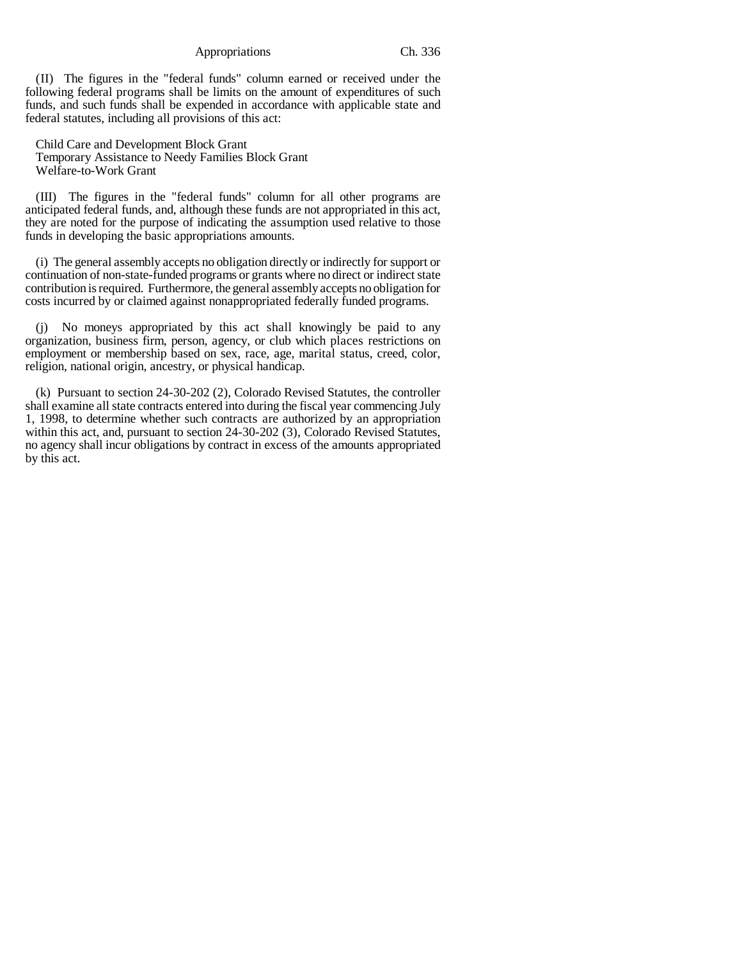(II) The figures in the "federal funds" column earned or received under the following federal programs shall be limits on the amount of expenditures of such funds, and such funds shall be expended in accordance with applicable state and federal statutes, including all provisions of this act:

Child Care and Development Block Grant Temporary Assistance to Needy Families Block Grant Welfare-to-Work Grant

(III) The figures in the "federal funds" column for all other programs are anticipated federal funds, and, although these funds are not appropriated in this act, they are noted for the purpose of indicating the assumption used relative to those funds in developing the basic appropriations amounts.

(i) The general assembly accepts no obligation directly or indirectly for support or continuation of non-state-funded programs or grants where no direct or indirect state contribution is required. Furthermore, the general assembly accepts no obligation for costs incurred by or claimed against nonappropriated federally funded programs.

(j) No moneys appropriated by this act shall knowingly be paid to any organization, business firm, person, agency, or club which places restrictions on employment or membership based on sex, race, age, marital status, creed, color, religion, national origin, ancestry, or physical handicap.

(k) Pursuant to section 24-30-202 (2), Colorado Revised Statutes, the controller shall examine all state contracts entered into during the fiscal year commencing July 1, 1998, to determine whether such contracts are authorized by an appropriation within this act, and, pursuant to section 24-30-202 (3), Colorado Revised Statutes, no agency shall incur obligations by contract in excess of the amounts appropriated by this act.